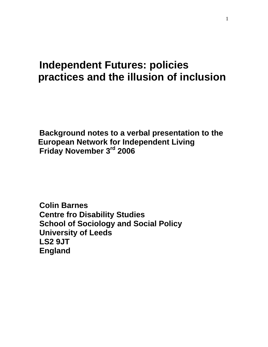# **Independent Futures: policies practices and the illusion of inclusion**

**Background notes to a verbal presentation to the European Network for Independent Living Friday November 3rd 2006** 

**Colin Barnes Centre fro Disability Studies School of Sociology and Social Policy University of Leeds LS2 9JT England**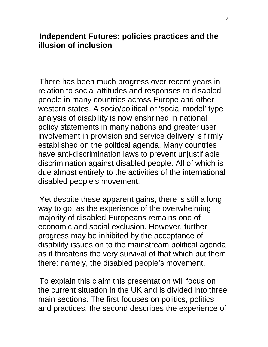#### **Independent Futures: policies practices and the illusion of inclusion**

There has been much progress over recent years in relation to social attitudes and responses to disabled people in many countries across Europe and other western states. A socio/political or 'social model' type analysis of disability is now enshrined in national policy statements in many nations and greater user involvement in provision and service delivery is firmly established on the political agenda. Many countries have anti-discrimination laws to prevent unjustifiable discrimination against disabled people. All of which is due almost entirely to the activities of the international disabled people's movement.

Yet despite these apparent gains, there is still a long way to go, as the experience of the overwhelming majority of disabled Europeans remains one of economic and social exclusion. However, further progress may be inhibited by the acceptance of disability issues on to the mainstream political agenda as it threatens the very survival of that which put them there; namely, the disabled people's movement.

To explain this claim this presentation will focus on the current situation in the UK and is divided into three main sections. The first focuses on politics, politics and practices, the second describes the experience of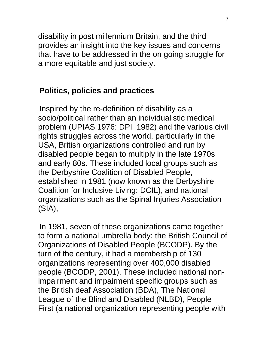disability in post millennium Britain, and the third provides an insight into the key issues and concerns that have to be addressed in the on going struggle for a more equitable and just society.

#### **Politics, policies and practices**

Inspired by the re-definition of disability as a socio/political rather than an individualistic medical problem (UPIAS 1976: DPI 1982) and the various civil rights struggles across the world, particularly in the USA, British organizations controlled and run by disabled people began to multiply in the late 1970s and early 80s. These included local groups such as the Derbyshire Coalition of Disabled People, established in 1981 (now known as the Derbyshire Coalition for Inclusive Living: DCIL), and national organizations such as the Spinal Injuries Association (SIA),

In 1981, seven of these organizations came together to form a national umbrella body: the British Council of Organizations of Disabled People (BCODP). By the turn of the century, it had a membership of 130 organizations representing over 400,000 disabled people (BCODP, 2001). These included national nonimpairment and impairment specific groups such as the British deaf Association (BDA), The National League of the Blind and Disabled (NLBD), People First (a national organization representing people with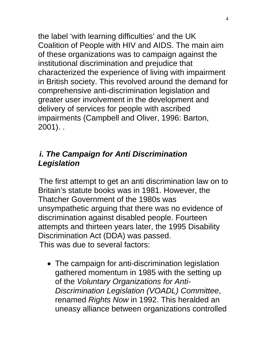the label 'with learning difficulties' and the UK Coalition of People with HIV and AIDS. The main aim of these organizations was to campaign against the institutional discrimination and prejudice that characterized the experience of living with impairment in British society. This revolved around the demand for comprehensive anti-discrimination legislation and greater user involvement in the development and delivery of services for people with ascribed impairments (Campbell and Oliver, 1996: Barton, 2001). .

# *i. The Campaign for Anti Discrimination Legislation*

The first attempt to get an anti discrimination law on to Britain's statute books was in 1981. However, the Thatcher Government of the 1980s was unsympathetic arguing that there was no evidence of discrimination against disabled people. Fourteen attempts and thirteen years later, the 1995 Disability Discrimination Act (DDA) was passed. This was due to several factors:

• The campaign for anti-discrimination legislation gathered momentum in 1985 with the setting up of the *Voluntary Organizations for Anti-Discrimination Legislation (VOADL) Committee*, renamed *Rights Now* in 1992. This heralded an uneasy alliance between organizations controlled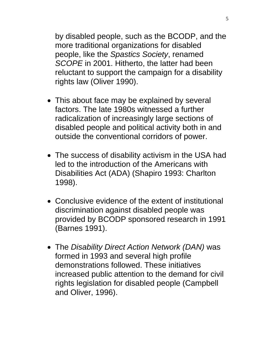by disabled people, such as the BCODP, and the more traditional organizations for disabled people, like the *Spastics Society*, renamed *SCOPE* in 2001. Hitherto, the latter had been reluctant to support the campaign for a disability rights law (Oliver 1990).

- This about face may be explained by several factors. The late 1980s witnessed a further radicalization of increasingly large sections of disabled people and political activity both in and outside the conventional corridors of power.
- The success of disability activism in the USA had led to the introduction of the Americans with Disabilities Act (ADA) (Shapiro 1993: Charlton 1998).
- Conclusive evidence of the extent of institutional discrimination against disabled people was provided by BCODP sponsored research in 1991 (Barnes 1991).
- The *Disability Direct Action Network (DAN)* was formed in 1993 and several high profile demonstrations followed. These initiatives increased public attention to the demand for civil rights legislation for disabled people (Campbell and Oliver, 1996).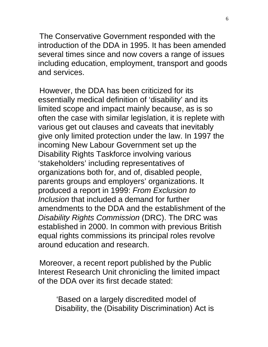The Conservative Government responded with the introduction of the DDA in 1995. It has been amended several times since and now covers a range of issues including education, employment, transport and goods and services.

However, the DDA has been criticized for its essentially medical definition of 'disability' and its limited scope and impact mainly because, as is so often the case with similar legislation, it is replete with various get out clauses and caveats that inevitably give only limited protection under the law. In 1997 the incoming New Labour Government set up the Disability Rights Taskforce involving various 'stakeholders' including representatives of organizations both for, and of, disabled people, parents groups and employers' organizations. It produced a report in 1999: *From Exclusion to Inclusion* that included a demand for further amendments to the DDA and the establishment of the *Disability Rights Commission* (DRC). The DRC was established in 2000. In common with previous British equal rights commissions its principal roles revolve around education and research.

Moreover, a recent report published by the Public Interest Research Unit chronicling the limited impact of the DDA over its first decade stated:

'Based on a largely discredited model of Disability, the (Disability Discrimination) Act is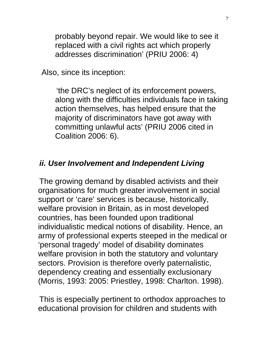probably beyond repair. We would like to see it replaced with a civil rights act which properly addresses discrimination' (PRIU 2006: 4)

Also, since its inception:

'the DRC's neglect of its enforcement powers, along with the difficulties individuals face in taking action themselves, has helped ensure that the majority of discriminators have got away with committing unlawful acts' (PRIU 2006 cited in Coalition 2006: 6).

#### *ii. User Involvement and Independent Living*

The growing demand by disabled activists and their organisations for much greater involvement in social support or 'care' services is because, historically, welfare provision in Britain, as in most developed countries, has been founded upon traditional individualistic medical notions of disability. Hence, an army of professional experts steeped in the medical or 'personal tragedy' model of disability dominates welfare provision in both the statutory and voluntary sectors. Provision is therefore overly paternalistic, dependency creating and essentially exclusionary (Morris, 1993: 2005: Priestley, 1998: Charlton. 1998).

This is especially pertinent to orthodox approaches to educational provision for children and students with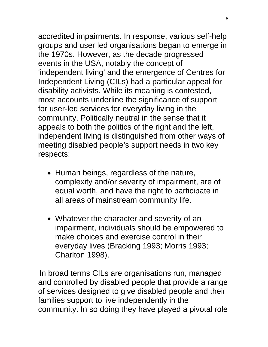accredited impairments. In response, various self-help groups and user led organisations began to emerge in the 1970s. However, as the decade progressed events in the USA, notably the concept of 'independent living' and the emergence of Centres for Independent Living (CILs) had a particular appeal for disability activists. While its meaning is contested, most accounts underline the significance of support for user-led services for everyday living in the community. Politically neutral in the sense that it appeals to both the politics of the right and the left, independent living is distinguished from other ways of meeting disabled people's support needs in two key respects:

- Human beings, regardless of the nature, complexity and/or severity of impairment, are of equal worth, and have the right to participate in all areas of mainstream community life.
- Whatever the character and severity of an impairment, individuals should be empowered to make choices and exercise control in their everyday lives (Bracking 1993; Morris 1993; Charlton 1998).

In broad terms CILs are organisations run, managed and controlled by disabled people that provide a range of services designed to give disabled people and their families support to live independently in the community. In so doing they have played a pivotal role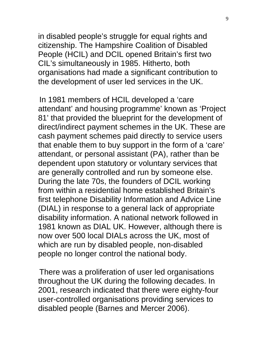in disabled people's struggle for equal rights and citizenship. The Hampshire Coalition of Disabled People (HCIL) and DCIL opened Britain's first two CIL's simultaneously in 1985. Hitherto, both organisations had made a significant contribution to the development of user led services in the UK.

In 1981 members of HCIL developed a 'care attendant' and housing programme' known as 'Project 81' that provided the blueprint for the development of direct/indirect payment schemes in the UK. These are cash payment schemes paid directly to service users that enable them to buy support in the form of a 'care' attendant, or personal assistant (PA), rather than be dependent upon statutory or voluntary services that are generally controlled and run by someone else. During the late 70s, the founders of DCIL working from within a residential home established Britain's first telephone Disability Information and Advice Line (DIAL) in response to a general lack of appropriate disability information. A national network followed in 1981 known as DIAL UK. However, although there is now over 500 local DIALs across the UK, most of which are run by disabled people, non-disabled people no longer control the national body.

There was a proliferation of user led organisations throughout the UK during the following decades. In 2001, research indicated that there were eighty-four user-controlled organisations providing services to disabled people (Barnes and Mercer 2006).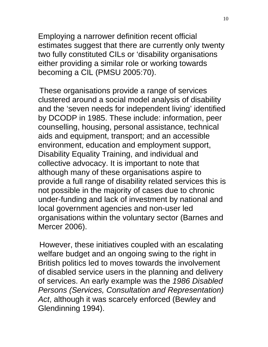Employing a narrower definition recent official estimates suggest that there are currently only twenty two fully constituted CILs or 'disability organisations either providing a similar role or working towards becoming a CIL (PMSU 2005:70).

These organisations provide a range of services clustered around a social model analysis of disability and the 'seven needs for independent living' identified by DCODP in 1985. These include: information, peer counselling, housing, personal assistance, technical aids and equipment, transport; and an accessible environment, education and employment support, Disability Equality Training, and individual and collective advocacy. It is important to note that although many of these organisations aspire to provide a full range of disability related services this is not possible in the majority of cases due to chronic under-funding and lack of investment by national and local government agencies and non-user led organisations within the voluntary sector (Barnes and Mercer 2006).

However, these initiatives coupled with an escalating welfare budget and an ongoing swing to the right in British politics led to moves towards the involvement of disabled service users in the planning and delivery of services. An early example was the *1986 Disabled Persons (Services, Consultation and Representation) Act*, although it was scarcely enforced (Bewley and Glendinning 1994).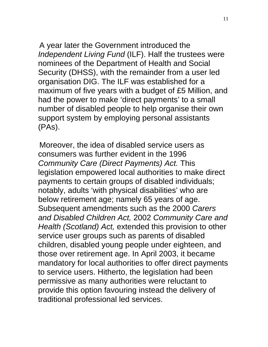A year later the Government introduced the *Independent Living Fund* (ILF). Half the trustees were nominees of the Department of Health and Social Security (DHSS), with the remainder from a user led organisation DIG. The ILF was established for a maximum of five years with a budget of £5 Million, and had the power to make 'direct payments' to a small number of disabled people to help organise their own support system by employing personal assistants (PAs).

Moreover, the idea of disabled service users as consumers was further evident in the 1996 *Community Care (Direct Payments) Act.* This legislation empowered local authorities to make direct payments to certain groups of disabled individuals; notably, adults 'with physical disabilities' who are below retirement age; namely 65 years of age. Subsequent amendments such as the 2000 *Carers and Disabled Children Act,* 2002 *Community Care and Health (Scotland) Act,* extended this provision to other service user groups such as parents of disabled children, disabled young people under eighteen, and those over retirement age. In April 2003, it became mandatory for local authorities to offer direct payments to service users. Hitherto, the legislation had been permissive as many authorities were reluctant to provide this option favouring instead the delivery of traditional professional led services.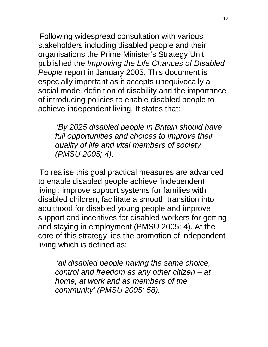Following widespread consultation with various stakeholders including disabled people and their organisations the Prime Minister's Strategy Unit published the *Improving the Life Chances of Disabled People* report in January 2005. This document is especially important as it accepts unequivocally a social model definition of disability and the importance of introducing policies to enable disabled people to achieve independent living. It states that:

*'By 2025 disabled people in Britain should have full opportunities and choices to improve their quality of life and vital members of society (PMSU 2005; 4).* 

To realise this goal practical measures are advanced to enable disabled people achieve 'independent living'; improve support systems for families with disabled children, facilitate a smooth transition into adulthood for disabled young people and improve support and incentives for disabled workers for getting and staying in employment (PMSU 2005: 4). At the core of this strategy lies the promotion of independent living which is defined as:

*'all disabled people having the same choice, control and freedom as any other citizen – at home, at work and as members of the community' (PMSU 2005: 58).*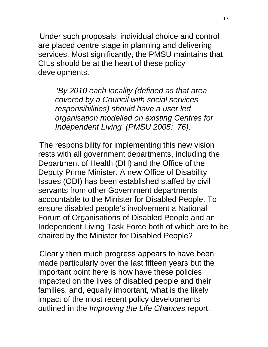Under such proposals, individual choice and control are placed centre stage in planning and delivering services. Most significantly, the PMSU maintains that CILs should be at the heart of these policy developments.

*'By 2010 each locality (defined as that area covered by a Council with social services responsibilities) should have a user led organisation modelled on existing Centres for Independent Living' (PMSU 2005: 76).* 

The responsibility for implementing this new vision rests with all government departments, including the Department of Health (DH) and the Office of the Deputy Prime Minister. A new Office of Disability Issues (ODI) has been established staffed by civil servants from other Government departments accountable to the Minister for Disabled People. To ensure disabled people's involvement a National Forum of Organisations of Disabled People and an Independent Living Task Force both of which are to be chaired by the Minister for Disabled People?

Clearly then much progress appears to have been made particularly over the last fifteen years but the important point here is how have these policies impacted on the lives of disabled people and their families, and, equally important, what is the likely impact of the most recent policy developments outlined in the *Improving the Life Chances* report.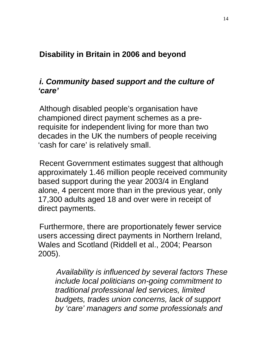# **Disability in Britain in 2006 and beyond**

#### *i. Community based support and the culture of 'care'*

Although disabled people's organisation have championed direct payment schemes as a prerequisite for independent living for more than two decades in the UK the numbers of people receiving 'cash for care' is relatively small.

Recent Government estimates suggest that although approximately 1.46 million people received community based support during the year 2003/4 in England alone, 4 percent more than in the previous year, only 17,300 adults aged 18 and over were in receipt of direct payments.

Furthermore, there are proportionately fewer service users accessing direct payments in Northern Ireland, Wales and Scotland (Riddell et al., 2004; Pearson 2005).

*Availability is influenced by several factors These include local politicians on-going commitment to traditional professional led services, limited budgets, trades union concerns, lack of support by 'care' managers and some professionals and*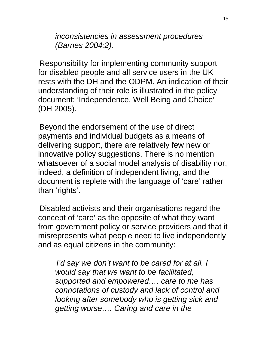*inconsistencies in assessment procedures (Barnes 2004:2).* 

Responsibility for implementing community support for disabled people and all service users in the UK rests with the DH and the ODPM. An indication of their understanding of their role is illustrated in the policy document: 'Independence, Well Being and Choice' (DH 2005).

Beyond the endorsement of the use of direct payments and individual budgets as a means of delivering support, there are relatively few new or innovative policy suggestions. There is no mention whatsoever of a social model analysis of disability nor, indeed, a definition of independent living, and the document is replete with the language of 'care' rather than 'rights'.

Disabled activists and their organisations regard the concept of 'care' as the opposite of what they want from government policy or service providers and that it misrepresents what people need to live independently and as equal citizens in the community:

*I'd say we don't want to be cared for at all. I would say that we want to be facilitated, supported and empowered…. care to me has connotations of custody and lack of control and looking after somebody who is getting sick and getting worse…. Caring and care in the*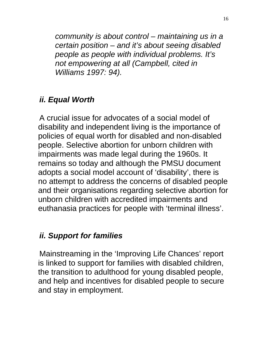*community is about control – maintaining us in a certain position – and it's about seeing disabled people as people with individual problems. It's not empowering at all (Campbell, cited in Williams 1997: 94).* 

## *ii. Equal Worth*

A crucial issue for advocates of a social model of disability and independent living is the importance of policies of equal worth for disabled and non-disabled people. Selective abortion for unborn children with impairments was made legal during the 1960s. It remains so today and although the PMSU document adopts a social model account of 'disability', there is no attempt to address the concerns of disabled people and their organisations regarding selective abortion for unborn children with accredited impairments and euthanasia practices for people with 'terminal illness'.

#### *ii. Support for families*

Mainstreaming in the 'Improving Life Chances' report is linked to support for families with disabled children, the transition to adulthood for young disabled people, and help and incentives for disabled people to secure and stay in employment.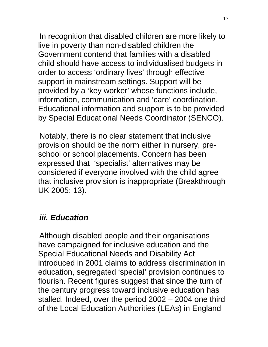In recognition that disabled children are more likely to live in poverty than non-disabled children the Government contend that families with a disabled child should have access to individualised budgets in order to access 'ordinary lives' through effective support in mainstream settings. Support will be provided by a 'key worker' whose functions include, information, communication and 'care' coordination. Educational information and support is to be provided by Special Educational Needs Coordinator (SENCO).

Notably, there is no clear statement that inclusive provision should be the norm either in nursery, preschool or school placements. Concern has been expressed that 'specialist' alternatives may be considered if everyone involved with the child agree that inclusive provision is inappropriate (Breakthrough UK 2005: 13).

#### *iii. Education*

Although disabled people and their organisations have campaigned for inclusive education and the Special Educational Needs and Disability Act introduced in 2001 claims to address discrimination in education, segregated 'special' provision continues to flourish. Recent figures suggest that since the turn of the century progress toward inclusive education has stalled. Indeed, over the period 2002 – 2004 one third of the Local Education Authorities (LEAs) in England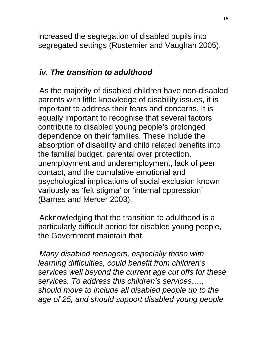increased the segregation of disabled pupils into segregated settings (Rustemier and Vaughan 2005).

## *iv. The transition to adulthood*

As the majority of disabled children have non-disabled parents with little knowledge of disability issues, it is important to address their fears and concerns. It is equally important to recognise that several factors contribute to disabled young people's prolonged dependence on their families. These include the absorption of disability and child related benefits into the familial budget, parental over protection, unemployment and underemployment, lack of peer contact, and the cumulative emotional and psychological implications of social exclusion known variously as 'felt stigma' or 'internal oppression' (Barnes and Mercer 2003).

Acknowledging that the transition to adulthood is a particularly difficult period for disabled young people, the Government maintain that,

*Many disabled teenagers, especially those with learning difficulties, could benefit from children's services well beyond the current age cut offs for these services. To address this children's services…., should move to include all disabled people up to the age of 25, and should support disabled young people*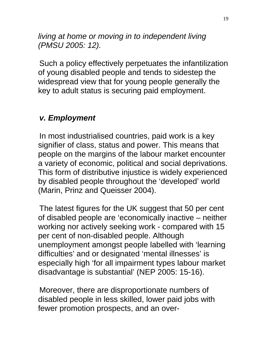*living at home or moving in to independent living (PMSU 2005: 12).* 

Such a policy effectively perpetuates the infantilization of young disabled people and tends to sidestep the widespread view that for young people generally the key to adult status is securing paid employment.

## *v. Employment*

In most industrialised countries, paid work is a key signifier of class, status and power. This means that people on the margins of the labour market encounter a variety of economic, political and social deprivations. This form of distributive injustice is widely experienced by disabled people throughout the 'developed' world (Marin, Prinz and Queisser 2004).

The latest figures for the UK suggest that 50 per cent of disabled people are 'economically inactive – neither working nor actively seeking work - compared with 15 per cent of non-disabled people. Although unemployment amongst people labelled with 'learning difficulties' and or designated 'mental illnesses' is especially high 'for all impairment types labour market disadvantage is substantial' (NEP 2005: 15-16).

Moreover, there are disproportionate numbers of disabled people in less skilled, lower paid jobs with fewer promotion prospects, and an over-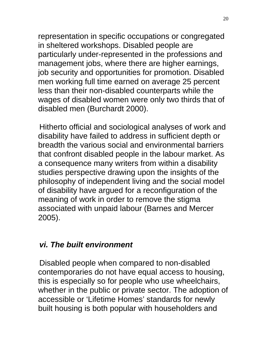representation in specific occupations or congregated in sheltered workshops. Disabled people are particularly under-represented in the professions and management jobs, where there are higher earnings, job security and opportunities for promotion. Disabled men working full time earned on average 25 percent less than their non-disabled counterparts while the wages of disabled women were only two thirds that of disabled men (Burchardt 2000).

Hitherto official and sociological analyses of work and disability have failed to address in sufficient depth or breadth the various social and environmental barriers that confront disabled people in the labour market. As a consequence many writers from within a disability studies perspective drawing upon the insights of the philosophy of independent living and the social model of disability have argued for a reconfiguration of the meaning of work in order to remove the stigma associated with unpaid labour (Barnes and Mercer 2005).

## *vi. The built environment*

Disabled people when compared to non-disabled contemporaries do not have equal access to housing, this is especially so for people who use wheelchairs, whether in the public or private sector. The adoption of accessible or 'Lifetime Homes' standards for newly built housing is both popular with householders and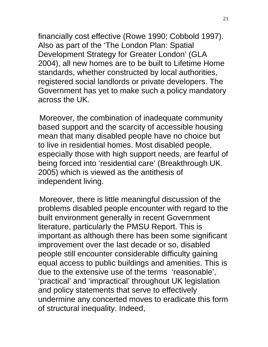financially cost effective (Rowe 1990; Cobbold 1997). Also as part of the 'The London Plan: Spatial Development Strategy for Greater London' (GLA 2004), all new homes are to be built to Lifetime Home standards, whether constructed by local authorities, registered social landlords or private developers. The Government has yet to make such a policy mandatory across the UK.

Moreover, the combination of inadequate community based support and the scarcity of accessible housing mean that many disabled people have no choice but to live in residential homes. Most disabled people, especially those with high support needs, are fearful of being forced into 'residential care' (Breakthrough UK. 2005) which is viewed as the antithesis of independent living.

Moreover, there is little meaningful discussion of the problems disabled people encounter with regard to the built environment generally in recent Government literature, particularly the PMSU Report. This is important as although there has been some significant improvement over the last decade or so, disabled people still encounter considerable difficulty gaining equal access to public buildings and amenities. This is due to the extensive use of the terms 'reasonable', 'practical' and 'impractical' throughout UK legislation and policy statements that serve to effectively undermine any concerted moves to eradicate this form of structural inequality. Indeed,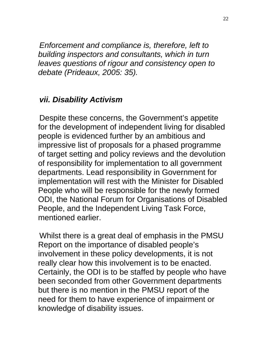*Enforcement and compliance is, therefore, left to building inspectors and consultants, which in turn leaves questions of rigour and consistency open to debate (Prideaux, 2005: 35).* 

## *vii. Disability Activism*

Despite these concerns, the Government's appetite for the development of independent living for disabled people is evidenced further by an ambitious and impressive list of proposals for a phased programme of target setting and policy reviews and the devolution of responsibility for implementation to all government departments. Lead responsibility in Government for implementation will rest with the Minister for Disabled People who will be responsible for the newly formed ODI, the National Forum for Organisations of Disabled People, and the Independent Living Task Force, mentioned earlier.

Whilst there is a great deal of emphasis in the PMSU Report on the importance of disabled people's involvement in these policy developments, it is not really clear how this involvement is to be enacted. Certainly, the ODI is to be staffed by people who have been seconded from other Government departments but there is no mention in the PMSU report of the need for them to have experience of impairment or knowledge of disability issues.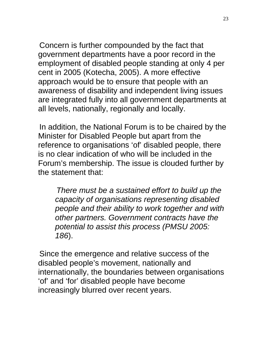Concern is further compounded by the fact that government departments have a poor record in the employment of disabled people standing at only 4 per cent in 2005 (Kotecha, 2005). A more effective approach would be to ensure that people with an awareness of disability and independent living issues are integrated fully into all government departments at all levels, nationally, regionally and locally.

In addition, the National Forum is to be chaired by the Minister for Disabled People but apart from the reference to organisations 'of' disabled people, there is no clear indication of who will be included in the Forum's membership. The issue is clouded further by the statement that:

*There must be a sustained effort to build up the capacity of organisations representing disabled people and their ability to work together and with other partners. Government contracts have the potential to assist this process (PMSU 2005: 186*).

Since the emergence and relative success of the disabled people's movement, nationally and internationally, the boundaries between organisations 'of' and 'for' disabled people have become increasingly blurred over recent years.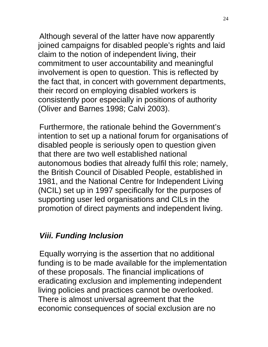Although several of the latter have now apparently joined campaigns for disabled people's rights and laid claim to the notion of independent living, their commitment to user accountability and meaningful involvement is open to question. This is reflected by the fact that, in concert with government departments, their record on employing disabled workers is consistently poor especially in positions of authority (Oliver and Barnes 1998; Calvi 2003).

Furthermore, the rationale behind the Government's intention to set up a national forum for organisations of disabled people is seriously open to question given that there are two well established national autonomous bodies that already fulfil this role; namely, the British Council of Disabled People, established in 1981, and the National Centre for Independent Living (NCIL) set up in 1997 specifically for the purposes of supporting user led organisations and CILs in the promotion of direct payments and independent living.

## *Viii. Funding Inclusion*

Equally worrying is the assertion that no additional funding is to be made available for the implementation of these proposals. The financial implications of eradicating exclusion and implementing independent living policies and practices cannot be overlooked. There is almost universal agreement that the economic consequences of social exclusion are no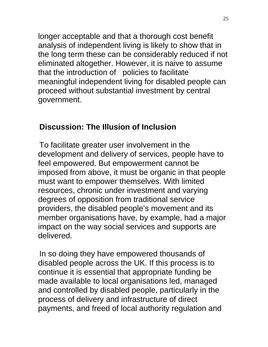longer acceptable and that a thorough cost benefit analysis of independent living is likely to show that in the long term these can be considerably reduced if not eliminated altogether. However, it is naive to assume that the introduction of policies to facilitate meaningful independent living for disabled people can proceed without substantial investment by central government.

# **Discussion: The Illusion of Inclusion**

To facilitate greater user involvement in the development and delivery of services, people have to feel empowered. But empowerment cannot be imposed from above, it must be organic in that people must want to empower themselves. With limited resources, chronic under investment and varying degrees of opposition from traditional service providers, the disabled people's movement and its member organisations have, by example, had a major impact on the way social services and supports are delivered.

In so doing they have empowered thousands of disabled people across the UK. If this process is to continue it is essential that appropriate funding be made available to local organisations led, managed and controlled by disabled people, particularly in the process of delivery and infrastructure of direct payments, and freed of local authority regulation and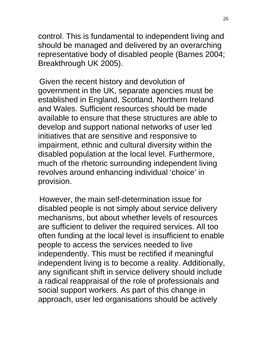control. This is fundamental to independent living and should be managed and delivered by an overarching representative body of disabled people (Barnes 2004; Breakthrough UK 2005).

Given the recent history and devolution of government in the UK, separate agencies must be established in England, Scotland, Northern Ireland and Wales. Sufficient resources should be made available to ensure that these structures are able to develop and support national networks of user led initiatives that are sensitive and responsive to impairment, ethnic and cultural diversity within the disabled population at the local level. Furthermore, much of the rhetoric surrounding independent living revolves around enhancing individual 'choice' in provision.

However, the main self-determination issue for disabled people is not simply about service delivery mechanisms, but about whether levels of resources are sufficient to deliver the required services. All too often funding at the local level is insufficient to enable people to access the services needed to live independently. This must be rectified if meaningful independent living is to become a reality. Additionally, any significant shift in service delivery should include a radical reappraisal of the role of professionals and social support workers. As part of this change in approach, user led organisations should be actively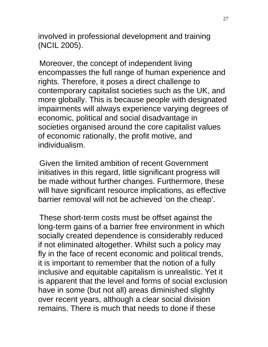involved in professional development and training (NCIL 2005).

Moreover, the concept of independent living encompasses the full range of human experience and rights. Therefore, it poses a direct challenge to contemporary capitalist societies such as the UK, and more globally. This is because people with designated impairments will always experience varying degrees of economic, political and social disadvantage in societies organised around the core capitalist values of economic rationally, the profit motive, and individualism.

Given the limited ambition of recent Government initiatives in this regard, little significant progress will be made without further changes. Furthermore, these will have significant resource implications, as effective barrier removal will not be achieved 'on the cheap'.

These short-term costs must be offset against the long-term gains of a barrier free environment in which socially created dependence is considerably reduced if not eliminated altogether. Whilst such a policy may fly in the face of recent economic and political trends, it is important to remember that the notion of a fully inclusive and equitable capitalism is unrealistic. Yet it is apparent that the level and forms of social exclusion have in some (but not all) areas diminished slightly over recent years, although a clear social division remains. There is much that needs to done if these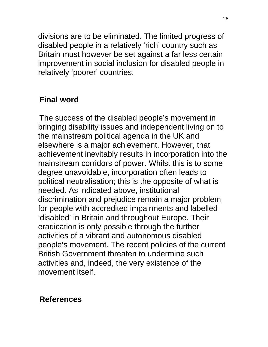divisions are to be eliminated. The limited progress of disabled people in a relatively 'rich' country such as Britain must however be set against a far less certain improvement in social inclusion for disabled people in relatively 'poorer' countries.

## **Final word**

The success of the disabled people's movement in bringing disability issues and independent living on to the mainstream political agenda in the UK and elsewhere is a major achievement. However, that achievement inevitably results in incorporation into the mainstream corridors of power. Whilst this is to some degree unavoidable, incorporation often leads to political neutralisation; this is the opposite of what is needed. As indicated above, institutional discrimination and prejudice remain a major problem for people with accredited impairments and labelled 'disabled' in Britain and throughout Europe. Their eradication is only possible through the further activities of a vibrant and autonomous disabled people's movement. The recent policies of the current British Government threaten to undermine such activities and, indeed, the very existence of the movement itself.

#### **References**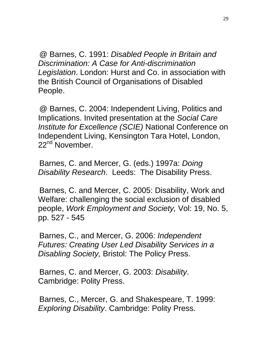@ Barnes, C. 1991: *Disabled People in Britain and Discrimination: A Case for Anti-discrimination Legislation*. London: Hurst and Co. in association with the British Council of Organisations of Disabled People.

@ Barnes, C. 2004: Independent Living, Politics and Implications. Invited presentation at the *Social Care Institute for Excellence (SCIE)* National Conference on Independent Living, Kensington Tara Hotel, London, 22<sup>nd</sup> November.

Barnes, C. and Mercer, G. (eds.) 1997a: *Doing Disability Research*. Leeds: The Disability Press.

Barnes, C. and Mercer, C. 2005: Disability, Work and Welfare: challenging the social exclusion of disabled people, *Work Employment and Society,* Vol: 19, No. 5, pp. 527 - 545

Barnes, C., and Mercer, G. 2006: *Independent Futures: Creating User Led Disability Services in a Disabling Society,* Bristol: The Policy Press.

Barnes, C. and Mercer, G. 2003: *Disability*. Cambridge: Polity Press.

Barnes, C., Mercer, G. and Shakespeare, T. 1999: *Exploring Disability*. Cambridge: Polity Press.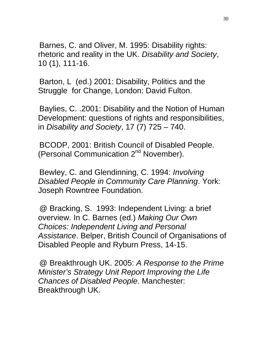Barnes, C. and Oliver, M. 1995: Disability rights: rhetoric and reality in the UK. *Disability and Society*, 10 (1), 111-16.

Barton, L (ed.) 2001: Disability, Politics and the Struggle for Change, London: David Fulton.

Baylies, C. .2001: Disability and the Notion of Human Development: questions of rights and responsibilities, in *Disability and Society*, 17 (7) 725 – 740.

BCODP, 2001: British Council of Disabled People. (Personal Communication 2<sup>nd</sup> November).

Bewley, C. and Glendinning, C. 1994: *Involving Disabled People in Community Care Planning*. York: Joseph Rowntree Foundation.

@ Bracking, S. 1993: Independent Living: a brief overview. In C. Barnes (ed.) *Making Our Own Choices: Independent Living and Personal Assistance*. Belper, British Council of Organisations of Disabled People and Ryburn Press, 14-15.

@ Breakthrough UK. 2005: *A Response to the Prime Minister's Strategy Unit Report Improving the Life Chances of Disabled People*. Manchester: Breakthrough UK.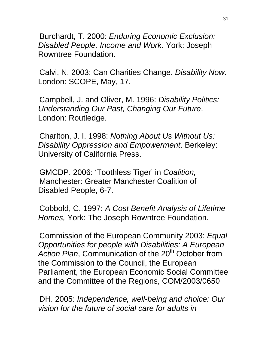Burchardt, T. 2000: *Enduring Economic Exclusion: Disabled People, Income and Work*. York: Joseph Rowntree Foundation.

Calvi, N. 2003: Can Charities Change. *Disability Now*. London: SCOPE, May, 17.

Campbell, J. and Oliver, M. 1996: *Disability Politics: Understanding Our Past, Changing Our Future*. London: Routledge.

Charlton, J. I. 1998: *Nothing About Us Without Us: Disability Oppression and Empowerment*. Berkeley: University of California Press.

GMCDP. 2006: 'Toothless Tiger' in *Coalition,*  Manchester: Greater Manchester Coalition of Disabled People, 6-7.

Cobbold, C. 1997: *A Cost Benefit Analysis of Lifetime Homes,* York: The Joseph Rowntree Foundation.

Commission of the European Community 2003: *Equal Opportunities for people with Disabilities: A European*  Action Plan, Communication of the 20<sup>th</sup> October from the Commission to the Council, the European Parliament, the European Economic Social Committee and the Committee of the Regions, COM/2003/0650

DH. 2005: *Independence, well-being and choice: Our vision for the future of social care for adults in*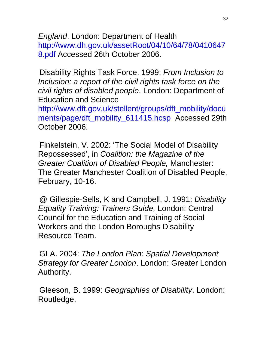*England*. London: Department of Health http://www.dh.gov.uk/assetRoot/04/10/64/78/0410647 8.pdf Accessed 26th October 2006.

Disability Rights Task Force. 1999: *From Inclusion to Inclusion: a report of the civil rights task force on the civil rights of disabled people*, London: Department of Education and Science

http://www.dft.gov.uk/stellent/groups/dft\_mobility/docu ments/page/dft\_mobility\_611415.hcsp Accessed 29th October 2006.

Finkelstein, V. 2002: 'The Social Model of Disability Repossessed', in *Coalition: the Magazine of the Greater Coalition of Disabled People,* Manchester: The Greater Manchester Coalition of Disabled People, February, 10-16.

@ Gillespie-Sells, K and Campbell, J. 1991: *Disability Equality Training: Trainers Guide,* London: Central Council for the Education and Training of Social Workers and the London Boroughs Disability Resource Team.

GLA. 2004: *The London Plan: Spatial Development Strategy for Greater London*. London: Greater London Authority.

Gleeson, B. 1999: *Geographies of Disability*. London: Routledge.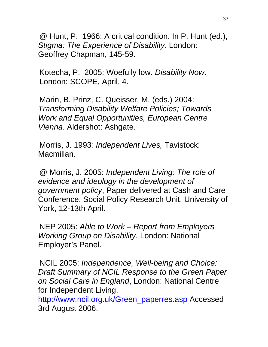@ Hunt, P. 1966: A critical condition. In P. Hunt (ed.), *Stigma: The Experience of Disability*. London: Geoffrey Chapman, 145-59.

Kotecha, P. 2005: Woefully low. *Disability Now*. London: SCOPE, April, 4.

Marin, B. Prinz, C. Queisser, M. (eds.) 2004: *Transforming Disability Welfare Policies; Towards Work and Equal Opportunities, European Centre Vienna*. Aldershot: Ashgate.

Morris, J. 1993*: Independent Lives,* Tavistock: Macmillan.

@ Morris, J. 2005: *Independent Living: The role of evidence and ideology in the development of government policy*, Paper delivered at Cash and Care Conference, Social Policy Research Unit, University of York, 12-13th April.

NEP 2005: *Able to Work – Report from Employers Working Group on Disability*. London: National Employer's Panel.

NCIL 2005: *Independence, Well-being and Choice: Draft Summary of NCIL Response to the Green Paper on Social Care in England*, London: National Centre for Independent Living.

http://www.ncil.org.uk/Green\_paperres.asp Accessed 3rd August 2006.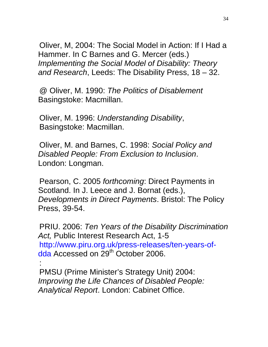Oliver, M, 2004: The Social Model in Action: If I Had a Hammer. In C Barnes and G. Mercer (eds.) *Implementing the Social Model of Disability: Theory and Research*, Leeds: The Disability Press, 18 – 32.

@ Oliver, M. 1990: *The Politics of Disablement* Basingstoke: Macmillan.

Oliver, M. 1996: *Understanding Disability*, Basingstoke: Macmillan.

Oliver, M. and Barnes, C. 1998: *Social Policy and Disabled People: From Exclusion to Inclusion*. London: Longman.

Pearson, C. 2005 *forthcoming*: Direct Payments in Scotland. In J. Leece and J. Bornat (eds.), *Developments in Direct Payments*. Bristol: The Policy Press, 39-54.

PRIU. 2006: *Ten Years of the Disability Discrimination Act,* Public Interest Research Act, 1-5 http://www.piru.org.uk/press-releases/ten-years-ofdda Accessed on 29<sup>th</sup> October 2006.

PMSU (Prime Minister's Strategy Unit) 2004: *Improving the Life Chances of Disabled People: Analytical Report*. London: Cabinet Office.

: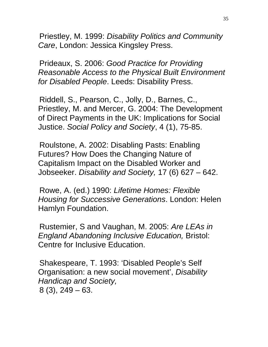Priestley, M. 1999: *Disability Politics and Community Care*, London: Jessica Kingsley Press.

Prideaux, S. 2006: *Good Practice for Providing Reasonable Access to the Physical Built Environment for Disabled People*. Leeds: Disability Press.

Riddell, S., Pearson, C., Jolly, D., Barnes, C., Priestley, M. and Mercer, G. 2004: The Development of Direct Payments in the UK: Implications for Social Justice. *Social Policy and Society*, 4 (1), 75-85.

Roulstone, A. 2002: Disabling Pasts: Enabling Futures? How Does the Changing Nature of Capitalism Impact on the Disabled Worker and Jobseeker. *Disability and Society,* 17 (6) 627 – 642.

Rowe, A. (ed.) 1990: *Lifetime Homes: Flexible Housing for Successive Generations*. London: Helen Hamlyn Foundation.

Rustemier, S and Vaughan, M. 2005: *Are LEAs in England Abandoning Inclusive Education,* Bristol: Centre for Inclusive Education.

Shakespeare, T. 1993: 'Disabled People's Self Organisation: a new social movement', *Disability Handicap and Society,*  8 (3), 249 – 63.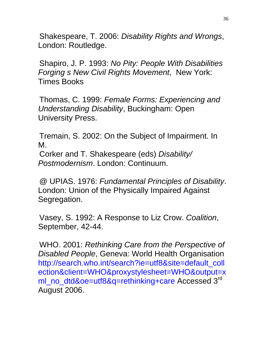Shakespeare, T. 2006: *Disability Rights and Wrongs*, London: Routledge.

Shapiro, J. P. 1993: *No Pity: People With Disabilities Forging s New Civil Rights Movement*, New York: Times Books

Thomas, C. 1999: *Female Forms: Experiencing and Understanding Disability*, Buckingham: Open University Press.

Tremain, S. 2002: On the Subject of Impairment. In M. Corker and T. Shakespeare (eds) *Disability/ Postmodernism*. London: Continuum.

@ UPIAS. 1976: *Fundamental Principles of Disability*. London: Union of the Physically Impaired Against Segregation.

Vasey, S. 1992: A Response to Liz Crow. *Coalition*, September, 42-44.

WHO. 2001: *Rethinking Care from the Perspective of Disabled People*, Geneva: World Health Organisation http://search.who.int/search?ie=utf8&site=default\_coll ection&client=WHO&proxystylesheet=WHO&output=x ml\_no\_dtd&oe=utf8&q=rethinking+care Accessed 3<sup>rd</sup> August 2006.